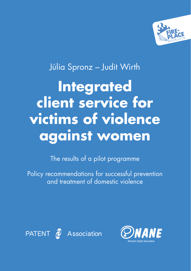

# Júlia Spronz – Judit Wirth **Integrated client service for victims of violence against women**

The results of a pilot programme

Policy recommendations for successful prevention and treatment of domestic violence



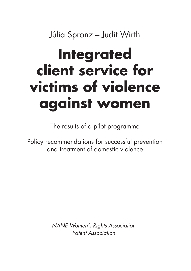Júlia Spronz – Judit Wirth

# **Integrated client service for victims of violence against women**

The results of a pilot programme

Policy recommendations for successful prevention and treatment of domestic violence

> NANE Women's Rights Association Patent Association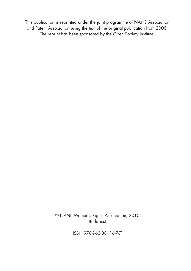This publication is reprinted under the joint programme of NANE Association and Patent Association using the text of the original publication from 2006. The reprint has been sponsored by the Open Society Institute.

> © NANE Women's Rights Association, 2010 Budapest

> > ISBN 978-963-88116-7-7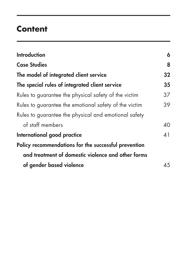## **Content**

| <b>Introduction</b>                                   | 6  |
|-------------------------------------------------------|----|
| <b>Case Studies</b>                                   | 8  |
| The model of integrated client service                | 32 |
| The special rules of integrated client service        | 35 |
| Rules to guarantee the physical safety of the victim  | 37 |
| Rules to guarantee the emotional safety of the victim | 39 |
| Rules to guarantee the physical and emotional safety  |    |
| of staff members                                      | 40 |
| International good practice                           | 41 |
| Policy recommendations for the successful prevention  |    |
| and treatment of domestic violence and other forms    |    |
| of gender based violence                              | 45 |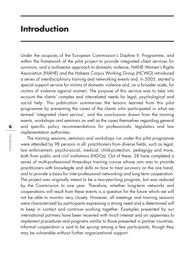### **Introduction**

Under the auspices of the European Commission's Daphne II. Programme, and within the framework of the pilot project to provide integrated client services for survivors, and a multisector approach to domestic violence, NANE Women's Rights Association (NANE) and the Habeas Corpus Working Group (HCWG) introduced a series of interdisciplinary training and networking events and, in 2005, started a special support service for victims of domestic violence and, on a broader scale, for victims of violence against women. The purpose of this service was to take into account the clients' complex and interrelated needs for legal, psychological and social help. This publication summarises the lessons learned from this pilot programme by presenting the cases of the clients who participated in what we termed 'integrated client service', and the conclusions drawn from the training events, workshops and seminars as well as the cases themselves regarding general and specific policy recommendations for professionals, legislators and law implementation authorities.

The training sessions, seminars and workshops run under this pilot programme were attended by 98 persons in all: practitioners from diverse fields, such as legal, law enforcement, psycho-social, medical, child-protection, pedagogy and more, both from public and civil institutions (NGOs). Out of these, 28 have completed a series of multi-professional three-days training course whose aim was to provide practitioners with knowlegde and skills on how to treat survivors on the one hand, and to provide a basis for inter-professional networking and long term cooperation. The project was originally meant to be a two-year-long program, but was reduced by the Commission to one year. Therefore, whether long-term networks and cooperations will result from these events is a question for the future which we will not be able to monitor very closely. However, all meetings and training sessions were characterized by participants expressing a strong need and a determined will to keep in contact and continue working together. Examples presented by our international partners have been received with much interest and an oppenness to implement procedures and programs similar to those presented in partner countries. Informal cooperation is said to be sprung among a few participants, though they may be vulnarable without further organizational support.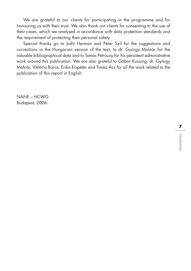We are grateful to our clients for participating in the programme and for honouring us with their trust. We also thank our clients for consenting to the use of their cases, which we analysed in accordance with data protection standards and the requirement of protecting their personal safety.

Special thanks go to Judit Herman and Péter Szil for the suggestions and corrections in the Hungarian version of the text, to dr. György Molnár for the valuable bibliographical data and to Tamás Petróczy for his persistent administrative work around this publication. We are also grateful to Gábor Kuszing, dr. György Molnár, Viktória Boros, Erika Kispéter and Timea Ács for all the work related to the publication of this report in English.

NANE – HCWG Budapest, 2006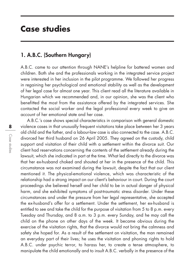### **Case studies**

### 1. A.B.C. (Southern Hungary)

A.B.C. came to our attention through NANE's helpline for battered women and children. Both she and the professionals working in the integrated service project were interested in her inclusion in the pilot programme. We followed her progress in regaining her psychological and emotional stability as well as the development of her legal case for almost one year. This client read all the literature available in Hungarian which we recommended and, in our opinion, she was the client who benefitted the most from the assistance offered by the integrated services. She contacted the social worker and the legal professional every week to give an account of her emotional state and her case.

A.B.C.'s case shows special characteristics in comparison with general domestic violence cases in that unusually frequent visitations take place between her 3 years old child and the father, and a labour-law case is also connected to the case. A.B.C. divorced her third husband on 26 April 2005. They agreed on the custody, child support and visitation of their child with a settlement within the divorce suit. Our client had reservations concerning the contents of the settlement already during the lawsuit, which she indicated in part at the time. What led directly to the divorce was that her ex-husband choked and shouted at her in the presence of the child. This circumstance was not examined during the lawsuit, despite the fact that our client mentioned it. The physical-emotional violence, which was characteristic of the relationship had a strong impact on our client's behaviour in court. During the court proceedings she believed herself and her child to be in actual danger of physical harm, and she exhibited symptoms of post-traumatic stress disorder. Under these circumstances and under the pressure from her legal representative, she accepted the ex-husband's offer for a settlement. Under the settlement, her ex-husband is entitled to see and take the child for the purpose of visitation from 5 to 8 p.m. every Tuesday and Thursday, and 8 a.m. to 3 p.m. every Sunday, and he may call the child on the phone on other days of the week. It became obvious during the exercise of the visitation rights, that the divorce would not bring the calmness and safety she hoped for. As a result of the settlement on visitation, the man remained an everyday part of their lives; he uses the visitation and phoning rights to hold A.B.C. under psychic terror, to harass her, to create a tense atmosphere, to manipulate the child emotionally and to insult A.B.C. verbally in the presence of the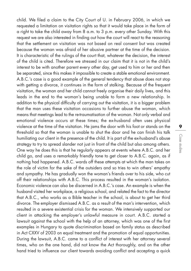child. We filed a claim to the City Court of U. in February 2006, in which we requested a limitation on visitation rights so that it would take place in the form of a right to take the child away from 8 a.m. to 3 p.m. every other Sunday. With this request we are also interested in finding out how the court will react to the reasoning that the settlement on visitation was not based on real consent but was created because the woman was afraid of her abusive partner at the time of the decision. It is characteristic of the rulings of the court that, whatever the decision, the interest of the child is cited. Therefore we stressed in our claim that it is not in the child's interest to be with another parent every other day, get used to him or her and then be separated, since this makes it impossible to create a stable emotional environment. A.B.C.'s case is a good example of the general tendency that abuse does not stop with getting a divorce, it continues in the form of stalking. Because of the frequent visitation, the woman and her child cannot freely organise their daily lives, and this leads in the end to the woman's being unable to form a new relationship. In addition to the physical difficulty of carrying out the visitation, it is a bigger problem that the man uses these visitation occasions to further abuse the woman, which means that meetings lead to the re-traumatisation of the woman. Not only verbal and emotional violence occurs at these times; the ex-husband often uses physical violence at the time of the visitation. He jams the door with his foot or stands on the threshold so that the woman is unable to shut the door and he can finish his talk humiliating our client in the presence of the child. It is part of the ex-husband's abuse strategy to try to spread slander not just in front of the child but also among others. One way he does this is that he regularly appears at events where A.B.C. and her child go, and uses a remarkably friendly tone to get closer to A.B.C. again, as if nothing had happened. A.B.C. wards off these attempts at which the man takes on the role of victim for the sake of the outsiders and so tries to win others' empathy and sympathy. He has gradually won the woman's friends over to his side, who cut off their relationships with A.B.C. This process resulted in the woman's isolation. Economic violence can also be discerned in A.B.C.'s case. An example is when the husband visited her workplace, a religious school, and related the fact to the director that A.B.C., who works as a Bible teacher in the school, is about to get her third divorce. The employer dismissed A.B.C. as a result of the man's intervention, which resulted in a severe existential crisis for the woman. We intensively supported our client in attacking the employer's unlawful measure in court. A.B.C. started a lawsuit against the school with the help of an attorney, which was one of the first examples in Hungary to quote discrimination based on family status as described in Act CXXV of 2003 on equal treatment and the promotion of equal opportunities. During the lawsuit, A.B.C. came to a conflict of interest with her attorney several times, who on the one hand, did not know the Act thoroughly, and on the other hand tried to influence our client towards avoiding conflict and accepting a quick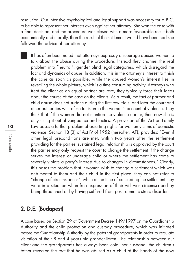resolution. Our intensive psychological and legal support was necessary for A.B.C. to be able to represent her interests even against her attorney. She won the case with a final decision, and the procedure was closed with a more favourable result both economically and morally, than the result of the settlement would have been had she followed the advice of her attorney.

It has often been noted that attorneys expressly discourage abused women to talk about the abuse during the procedure. Instead they channel the real problem into "neutral", gender blind legal categories, which disregard the fact and dynamics of abuse. In addition, it is in the attorney's interest to finish the case as soon as possible, while the abused woman's interest lies in revealing the whole picture, which is a time consuming activity. Attorneys who treat the client as an equal partner are rare, they typically force their ideas about the course of the case on the clients. As a result, the fact of partner and child abuse does not surface during the first few trials, and later the court and other authorities will refuse to listen to the woman's account of violence. They think that if the woman did not mention the violence earlier, then now she is only using it out of vengeance and tactics. A provision of the Act on Family Law poses a further problem of asserting rights for women victims of domestic violence. Section 18 (3) of Act IV of 1952 (hereafter: AFL) provides: "Even if other legal preconditions are met, within two years after the settlement providing for the parties' sustained legal relationship is approved by the court the parties may only request the court to change the settlement if the change serves the interest of underage child or where the settlement has come to severely violate a party's interest due to changes in circumstances." Clearly, this poses the problem that if women wish to change a settlement which was detrimental to them and their child in the first place, they can not refer to "change of circumstances", while at the time of concluding the settlement they were in a situation when free expression of their will was circumscribed by being threatened or by having suffered from posttraumatic stress disorder.

### 2. D.E. (Budapest)

A case based on Section 29 of Government Decree 149/1997 on the Guardianship Authority and the child protection and custody procedure, which was initiated before the Guardianship Authority by the paternal grandparents in order to regulate visitation of their 8 and 4 years old grandchildren. The relationship between our client and the grandparents has always been cold, her husband, the children's father revealed the fact that he was abused as a child at the hands of the now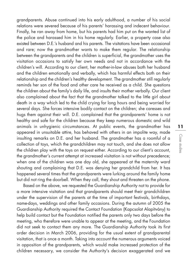grandparents. Abuse continued into his early adulthood, a number of his social relations were severed because of his parents' harassing and indecent behaviour. Finally, he ran away from home, but his parents had him put on the wanted list of the police and harassed him in his home regularly. Earlier, a property case also existed between D.E.'s husband and his parents. The visitations have been occasional and rare; now the arandmother wants to make them regular. The relationship between the grandparents and the children is superficial, the grandmother uses the visitation occasions to satisfy her own needs and not in accordance with the children's will. According to our client, her mother-in-law abuses both her husband and the children emotionally and verbally, which has harmful effects both on their relationship and the children's healthy development. The grandmother still regularly reminds her son of the food and other care he received as a child. She questions the children about the family's daily life, and insults their mother verbally. Our client also complained about the fact that the grandmother talked to the little girl about death in a way which led to the child crying for long hours and being worried for several days. She forces intensive bodily contact on the children; she caresses and hugs them against their will. D.E. complained that the grandparents' home is not healthy and safe for the children because they keep numerous domestic and wild animals in unhygienic circumstances. At public events, the grandmother has appeared in unsuitable attire, has behaved with others in an impolite way, made insulting remarks on D.E. and her husband. The grandmother has a roomful of a collection of toys, which the grandchildren may not touch, and she does not allow the children play with the toys on request either. According to our client's account, the grandmother's current attempt at increased visitation is not without precedence; when one of the children was one day old, she appeared at the maternity ward shouting and complaining that D.E. was denying her grandchild from her. It has happened several times that the grandparents were lurking around the family home but did not ring the doorbell. When they call, they shout and threaten on the phone.

Based on the above, we requested the Guardianship Authority not to provide for a more intensive visitation and that grandparents should meet their grandchildren under the supervision of the parents at the time of important festivals, birthdays, name-days, weddings and other family occasions. During the autumn of 2005 the Guardianship Authority required the Contact Foundation (Kapcsolat Alapítvány) to help build contact but the Foundation notified the parents only two days before the meeting, who therefore were unable to appear at the meeting, and the Foundation did not seek to contact them any more. The Guardianship Authority took its first order decision in March 2006, providing for the usual extent of grandparental visitation, that is once a month. Taking into account the numerous arguments voiced in opposition of the grandparents, which would make increased protection of the children necessary, we consider the Authority's decision exaggerated and we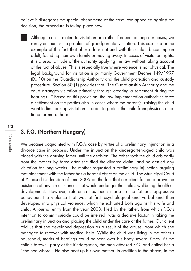believe it disregards the special phenomena of the case. We appealed against the decision; the procedure is taking place now.

Although cases related to visitation are rather frequent among our cases, we rarely encounter the problem of grandparental visitation. This case is a prime example of the fact that abuse does not end with the child's becoming an adult, founding their own family or moving away. In cases of visitation rights, it is a usual attitude of the authority applying the law without taking account of the fact of abuse. This is especially true where violence is not physical. The legal background for visitation is primarily Government Decree 149/1997 (IX. 10) on the Guardianship Authority and the child protection and custody procedure. Section 30 (1) provides that "The Guardianship Authority and the court arranges visitation primarily through creating a settlement during the hearings..." Based on this provision, the law implementation authorities force a settlement on the parties also in cases where the parent(s) raising the child want to limit or stop visitation in order to protect the child from physical, emotional or moral harm.

### 3. F.G. (Northern Hungary)

We became acquainted with F.G.'s case by virtue of a preliminary injunction in a divorce case in process. Under the injunction the kindergarten-aged child was placed with the abusing father until the decision. The father took the child arbitrarily from the mother by force after she filed the divorce claim, and he denied any visitation for long weeks. The mother requested a preliminary injunction arguing that placement with the father has a harmful effect on the child. The Municipal Court of Y. based its decision of June 2005 on the fact that our client failed to prove the existence of any circumstances that would endanger the child's wellbeing, health or development. However, reference has been made to the father's aggressive behaviour, the violence that was at first psychological and verbal and then developed into physical violence, which he exhibited both against his wife and child. A journal entry from the year 2003, filed by the father, from which F.G.'s intention to commit suicide could be inferred, was a decisive factor in taking the preliminary injunction and placing the child under the care of the father. Our client told us that she developed depression as a result of the abuse, from which she managed to recover with medical help. While the child was living in the father's household, marks of beatings could be seen over his body several times. At the child's farewell party at the kindergarten, the man attacked F.G. and called her a "chained whore". He also beat up his own mother. In addition to the above, in the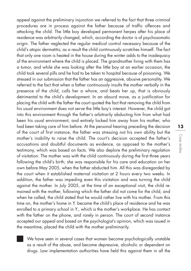appeal against the preliminary injunction we referred to the fact that three criminal procedures are in process against the father because of traffic offences and attacking the child. The little boy developed permanent herpes after his place of residence was arbitrarily changed, which, according the doctor is of psychosomatic origin. The father neglected the regular medical control necessary because of the child's atopic dermatitis; as a result the child continuously scratches himself. The fact that only one room is heated in the house during the winter adds to the inadequacy of the environment where the child is placed. The grandmother living with them has a tumor, and while she was looking after the little boy at an earlier occasion, the child took several pills and he had to be taken to hospital because of poisoning. We stressed in our submission that the father has an aggressive, abusive personality. We referred to the fact that when a father continuously insults the mother verbally in the presence of the child, calls her a whore, and beats her up, that is obviously detrimental to the child's development. In an absurd move, as a justification for placing the child with the father the court quoted the fact that removing the child from his usual environment does not serve the little boy's interest. However, the child got into this environment through the father's arbitrarily abducting him from what had been his usual environment, and entirely locked him away from his mother, who had been taking care of him before. At the personal hearing preceding the decision of the court of first instance, the father was stressing not his own ability but the mother's inability to raise the child. The court's decision accepted the father's accusations and doubtful documents as evidence, as opposed to the mother's testimony, which was based on facts. We also deplore the preliminary regulation of visitation. The mother was with the child continuously during the first three years following the child's birth; she was responsible for his care and education on her own before May 2005, when the father abducted him. All this was disregarded by the court when it established maternal visitation at 2 hours every two weeks. In addition, the father was impeding even this visitation and was turning the child against the mother. In July 2005, at the time of an exceptional visit, the child remained with the mother, following which the father did not come for the child, and when he called, the child stated that he would rather live with his mother. From this time on, the mother's home in Y. became the child's place of residence and he was enrolled to a primary school in Y., which is the mother's workplace. He has contact with the father on the phone, and rarely in person. The court of second instance accepted our appeal and based on the psychologist's opinion, which was issued in the meantime, placed the child with the mother preliminarily.

We have seen in several cases that women become psychologically unstable as a result of the abuse, and become depressive, alcoholic or dependent on drugs. Law implementation authorities have held this against them in all the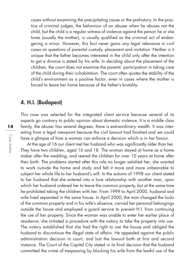cases without examining the precipitating cause or the prehistory. In the practice of criminal judges, the behaviour of an abuser when he abuses not the child, but the child is a regular witness of violence against the person he or she loves (usually the mother), is usually qualified as the criminal act of endangering a minor. However, this fact never gains any legal relevance in civil cases on questions of parental custody, placement and visitation. Neither is it unique that the father becomes interested in the child only after the intention to get a divorce is stated by his wife. In deciding about the placement of the children, the court does not examine the parents' participation in taking care of the child during their cohabitation. The court often quotes the stability of the child's environment as a positive factor, even in cases where the mother is forced to leave her home because of the father's brutality.

### 4. H.I. (Budapest)

This case was selected for the integrated client service because several of its aspects go contrary to public opinion about domestic violence. It is a middle class family, the abuser has several degrees, there is extraordinary wealth. It was interesting from a legal viewpoint because the civil lawsuit had finished and we could have a glimpse of how a woman can enforce a decision which is in her favour.

At the age of 16 our client met her husband who was significantly older than her. They have two children, aged 16 and 18. The woman stayed at home as a home maker after the wedding, and reared the children for over 10 years at home after their birth. The problems started after this role no longer satisfied her; she wanted to work outside the home and study and felt it more and more unbearable to subject her whole life to her husband's will. In the autumn of 1998 our client stated to her husband that she entered into a love relationship with another man, upon which her husband ordered her to leave the common property, but at the same time he prohibited taking the children with her. From 1999 to April 2000, husband and wife lived separated in the same house. In April 2000, the man changed the locks of the common property and in his wife's absence, carried her personal belongings outside the house and employed a guard service to prevent H.I. from continuing the use of her property. Since the woman was unable to enter her earlier place of residence, she initiated a procedure with the notary to take the property into use. The notary established that she had the right to use the house and obliged the husband to discontinue the illegal state of affairs. He appealed against the public administration decision in court, and lost the lawsuit both at first and second instance. The Court of the Capital City stated in its final decision that the husband committed the crime of trespassing by blocking his wife from the lawful use of the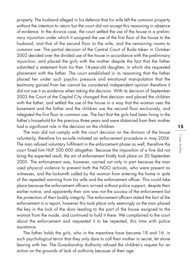property. The husband alleged in his defence that his wife left the common property without the intention to return but the court did not accept this reasoning in absence of evidence. In the divorce case, the court settled the use of the house in a preliminary injunction under which it assigned the use of the first floor of the house to the husband, and that of the second floor to the wife, and the remaining rooms to common use. The partial decision of the Central Court of Buda taken in October 2002 decided over the divided use of the house in accordance with the preliminary injunction, and placed the girls with the mother despite the fact that the father submitted a statement from his then 14-year-old daughter, in which she requested placement with the father. The court established in its reasoning that the father placed her under such psychic pressure and emotional manipulation that the testimony gained from her cannot be considered independent opinion therefore it did not use it as evidence when taking the decision. With its decision of September 2003 the Court of the Capital City changed that decision and placed the children with the father, and settled the use of the house in a way that the woman uses the basement and the father and the children use the second floor exclusively, and relegated the first floor to common use. The fact that the girls had been living in the father's household for the previous three years and were distanced from their mother had a significant role in the decision on the children.

The man did not comply with the court decision on the division of the house voluntarily, therefore his ex-wife initiated an enforcement procedure in may 2004. The man refused voluntary fulfilment in the enforcement phase as well, therefore the court fined him HUF 500 000 altogether. Because the imposition of a fine did not bring the expected result, the act of enforcement finally took place on 20 September 2005. The enforcement was, however, carried out only in part because the man used physical violence to prevent both the NGO activists, who were present as witnesses, and the locksmith called by the woman from entering the home in spite of the repeated warning from his wife and the enforcement officer. This could take place because the enforcement officers arrived without police support, despite their earlier notice, and apparently their aim was not the success of the enforcement but the protection of their bodily integrity. The enforcement officers stated the fact of the enforcement in a report, however this took place only seemingly as the man placed the key in the lock of the door leading to the part of the house assigned to the woman from the inside, and continued to hold it there. We complained to the court about the enforcement and requested it to be repeated, this time with police assistance.

The father holds the girls, who in the meantime have become 18 and 16, in such psychological terror that they only dare to call their mother in secret, let alone leaving with her. The Guardianship Authority refused the children's request for an action on the grounds of lack of authority because of their age.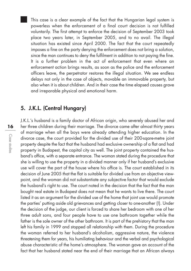This case is a clear example of the fact that the Hungarian legal system is powerless when the enforcement of a final court decision is not fulfilled voluntarily. The first attempt to enforce the decision of September 2003 took place two years later, in September 2005, and to no avail. The illegal situation has existed since April 2000. The fact that the court repeatedly imposes a fine on the party denying the enforcement does not bring a solution, since the man continues to deny the fulfilment in addition to not paying the fine. It is a further problem in the act of enforcement that even where an enforcement action brings results, as soon as the police and the enforcement officers leave, the perpetrator restores the illegal situation. We see endless delays not only in the case of objects, movable an immovable property, but also when it is about children. And in their case the time elapsed causes grave and irreparable physical and emotional harm.

### 5. J.K.L. (Central Hungary)

J.K.L.'s husband is a family doctor of African origin, who severely abused her and her three children during their marriage. The divorce came after almost thirty years of marriage when all the boys were already attending higher education. In the divorce case, the court provided for the divided use of their 200-sqare-metre joint property despite the fact that the husband had exclusive ownership of a flat and had property in Budapest, the capital city as well. The joint property contained the husband's office, with a separate entrance. The woman stated during the procedure that she is willing to use the property in a divided manner only if her husband's exclusive use will cover the part of the house where his office is. The court established in its decision of June 2005 that the flat is suitable for divided use from an objective viewpoint, and the woman did not substantiate any subjective factor that would exclude the husband's right to use. The court noted in the decision that the fact that the man bought real estate in Budapest does not mean that he wants to live there. The court listed it as an argument for the divided use of the home that joint use would promote the parties' putting aside old grievances and getting closer to one-another (!). Under the decision of the judge, our client is forced to share her bedroom with one of her three adult sons, and four people have to use one bathroom together while the father is the sole owner of the other bathroom. It is part of the prehistory that the man left his family in 1999 and stopped all relationship with them. During the procedure the woman referred to her husband's alcoholism, aggressive nature, the violence threatening them for years, his humiliating behaviour and the verbal and psychological abuse characteristic of the home's atmosphere. The woman gave an account of the fact that her husband stated near the end of their marriage that an African always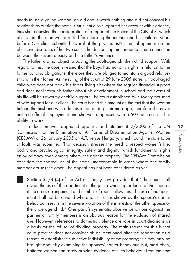needs to use a young woman, an old one is worth nothing and did not conceal his relationships outside the home. Our client also supported her account with evidence, thus she requested the consideration of a report of the Police of the City of X, which attests that the man was arrested for attacking the mother and her children years before. Our client submitted several of the psychiatrist's medical opinions on the obsessive disorders of her two sons. The doctor's opinion made a clear connection between the severe anxiety and the father's violence.

The father did not object to paying the adult-aged children child support. With regard to this, the court stressed that the boys had not only rights in relation to the father but also obligations, therefore they are obliged to maintain a good relationship with their father. As the ruling of the court of 29 June 2005 states, an adult-aged child who does not thank his father living elsewhere the regular financial support and does not inform his father about his development in school and the events of his life will be unworthy of child support. The court established HUF twenty-thousand of wife support for our client. The court based this amount on the fact that the woman helped the husband with administration during their marriage, therefore she never entered official employment and she was diagnosed with a 50% decrease in her ability to work.

The decision was appealed against, and Statement 2/2003 of the UN Commission for the Elimination of All Forms of Discrimination Against Women (CEDAW) of 26 January 2005 on A.T. versus Hungary, which found the state to be at fault, was submitted. That decision stresses the need to respect women's life, bodily and psychological integrity, safety and dignity, which fundamental rights enjoy primacy over, among others, the right to property. The CEDAW Commission considers the shared use of the home unacceptable in cases where one family member abuses the other. The appeal has not been considered as yet.

Section 31/B (4) of the Act on Family Law provides that "The court shall divide the use of the apartment in the joint ownership or lease of the spouses if the area, arrangement and number of rooms allow this. The use of the apartment shall not be divided where joint use, as shown by the spouse's earlier behaviour, results in the severe violation of the interests of the other spouse or the underage child." One party's systematic abusive behaviour against the partner or family members is an obvious reason for the exclusion of shared use. However, references to domestic violence are rare in court decisions as a basis for the refusal of dividing property. The main reason for this is that court practice does not consider abuse mentioned after the separation as a reason to establish the subjective indivisibility of the property; this may only be brought about by examining the spouses' earlier behaviour. But, most often, battered women can rarely provide evidence of such behaviour from the time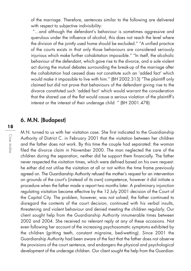of the marriage. Therefore, sentences similar to the following are delivered with respect to subjective indivisibility:

"... and although the defendant's behaviour is sometimes aggressive and querulous under the influence of alcohol, this does not reach the level where the division of the jointly used home should be excluded." "A unified practice of the courts exists in that only those behaviours are considered seriously injurious which make further cohabitation impossible." "In itself, the alcoholic behaviour of the defendant, which gave rise to the divorce, and a sole violent act during the mutual debates surrounding the break-up of the marriage after the cohabitation had ceased does not constitute such an 'added fact' which would make it impossible to live with him." (BH 2002.313) "The plaintiff only claimed but did not prove that behaviours of the defendant giving rise to the divorce constituted such 'added fact' which would warrant the consideration that the shared use of the flat would cause a serious violation of the plaintiff's interest or the interest of their underage child " (BH 2001.478)

### 6. M.N. (Budapest)

M.N. turned to us with her visitation case. She first indicated to the Guardianship Authority of District C. in February 2001 that the visitation between her children and the father does not work. By this time the couple had separated: the woman filed the divorce claim in November 2000. The man neglected the care of the children during the separation, neither did he support them financially. The father never respected the visitation times, which were defined based on his own request: he either did not utilise the visitation at all or not within the time frame previously agreed on. The Guardianship Authority refused the mother's request for an intervention on grounds of the court's (instead of its own) competence, however it did initiate a procedure when the father made a report two months later. A preliminary injunction regulating visitation became effective by the 12 July 2001 decision of the Court of the Capital City. The problem, however, was not solved; the father continued to disregard the contents of the court decision, continued with his verbal insults, threatening and violent behaviour and denied meeting the children regularly. Our client sought help from the Guardianship Authority innumerable times between 2002 and 2004. She received no relevant reply at any of these occasions. Not even following her account of the increasing psychosomatic symptoms exhibited by the children (gritting teeth, constant migraine, bed-wetting). Since 2001 the Guardianship Authority had been aware of the fact that the father does not observe the provisions of the court sentence, and endangers the physical and psychological development of the underage children. Our client sought the help from the Guardian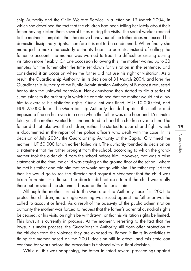ship Authority and the Child Welfare Service in a letter on 19 March 2004, in which she described the fact that the children had been telling her lately about their father having kicked them several times during the visits. The social worker reacted to the mother's complaint that the above behaviour of the father does not exceed his domestic disciplinary rights, therefore it is not to be condemned. When finally she managed to make the custody authority hear the parents, instead of calling the father to account, the mother was warned to treat the difficulties arising during visitation more flexibly. On one occassion following this, the mother waited up to 30 minutes for the father after the time set down for visitation in the sentence, and considered it an occasion when the father did not use his right of visitation. As a result, the Guardianship Authority, in its decision of 31 March 2004, and later the Guardianship Authority of the Public Administration Authority of Budapest requested her to stop the unlawful behaviour. Her ex-husband then started to file a series of submissions to the authority in which he complained that the mother would not allow him to exercise his visitation rights. Our client was fined, HUF 10.000 first, and HUF 25.000 later. The Guardianship Authority decided against the mother and imposed a fine on her even in a case when the father was one hour and 15 minutes late, yet, the mother waited for him and tried to hand the children over to him. The father did not take over the children; rather, he started to quarrel and fight, which is documented in the report of the police officers who dealt with the case. In its decision of July 2004, the Guardianship Authority of the Capital City fined the mother HUF 50.000 for an earlier failed visit. The authority founded its decision on a statement that the father brought from the school, according to which the grandmother took the older child from the school before him. However, that was a false statement: at the time, the child was staying on the ground floor of the school, where he met his father and told him that he would not go with him. The father replied that then he would go to see the director and request a statement that the child was taken from him. He did so. The director did not ascertain if the child was really there but provided the statement based on the father's claim.

Although the mother turned to the Guardianship Authority herself in 2001 to protect her children, not a single warning was issued against the father or was he called to account or fined. As a result of the passivity of the public administration authority the mother was forced to request that the father's parental custodial rights be ceased, or his visitaion rights be withdrawn, or that his visitation rights be limited. This lawsuit is currently in process. At the moment, referring to the fact that the lawsuit is under process, the Guardianship Authority still does offer protection to the children from the violence they are exposed to. Rather, it limits its activities to fining the mother based on the 2001 decision still in effect, and this state can continue for years before the procedure is finished with a final decision.

While all this was happening, the father initiated several proceedings against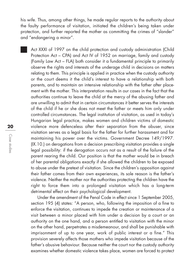his wife. Thus, among other things, he made regular reports to the authority about the faulty performance of visitation, initiated the children's being taken under protection, and further reported the mother as committing the crimes of "slander" and "endangering a minor".

Act XXXI of 1997 on the child protection and custody administration (Child Protection Act – CPA) and Act IV of 1952 on marriage, family and custody (Family Law Act – FLA) both consider it a fundamental principle to primarily observe the rights and interests of the underage child in decisions on matters relating to them. This principle is applied in practice when the custody authority or the court deems it the child's interest to have a relationship with both parents, and to maintain an intensive relationship with the father after placement with the mother. This interpretation results in our cases in the fact that the authorities continue to leave the child at the mercy of the abusing father and are unwilling to admit that in certain circumstances it better serves the interests of the child if he or she does not meet the father or meets him only under controlled circumstances. The legal institution of visitation, as used in today's Hungarian legal practice, makes women and children victims of domestic violence more defenceless after their separation from the abuser, since visitation serves as a legal basis for the father for further harassment and for maintaining his power over the victims. Government Decree 149/1997. (IX.10.) on derogations from a decision prescribing visitation provides a single legal possibility: if the derogation occurs not as a result of the failure of the parent rearing the child. Our position is that the mother would be in breach of her parental obligations exactly if she allowed the children to be exposed to abuse under the pretext of visitation. Since the children's opposition against their father comes from their own experiences, its sole reason is the father's violence. Neither the mother nor the authorities protecting the children have the right to force them into a prolonged visitation which has a long-term detrimental effect on their psychological development.

Under the amendment of the Penal Code in effect since 1 September 2005, section 195 (4) states: "A person, who, following the imposition of a fine to enforce the visitation, continues to impede the creation or maintenance of a visit between a minor placed with him under a decision by a court or an authority on the one hand, and a person entitled to visitation with the minor on the other hand, perpetrates a misdemeanour, and shall be punishable with imprisonment of up to one year, work of public interest or a fine." This provision severely affects those mothers who impede visitation because of the father's abusive behaviour. Because neither the court nor the custody authority examines whether domestic violence takes place, women are forced to protect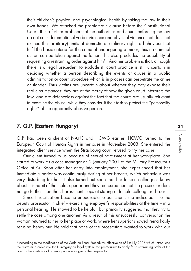their children's physical and psychological health by taking the law in their own hands. We attacked the problematic clause before the Constitutional Court. It is a further problem that the authorities and courts enforcing the law do not consider emotional-verbal violence and physical violence that does not exceed the (arbitrary) limits of domestic disciplinary rights a behaviour that fulfil the basic criteria for the crime of endangering a minor, thus no criminal action can be taken against the father. This also precludes the possibility of requesting a restraining order against him<sup>1</sup>. Another problem is that, although there is a legal precedent to exclude it, court practice is still uncertain in deciding whether a person describing the events of abuse in a public administration or court procedure which is in process can perpetrate the crime of slander. Thus victims are uncertain about whether they may expose their real circumstances: they are at the mercy of how the given court interprets the law, and are defenceless against the fact that the courts are usually reluctant to examine the abuse, while they consider it their task to protect the "personality rights" of the apparently abusive person.

### 7. O.P. (Eastern Hungary)

O.P. had been a client of NANE and HCWG earlier. HCWG turned to the European Court of Human Rights in her case in November 2003. She entered the integrated client service when the Strasbourg court refused to try her case.

Our client turned to us because of sexual harassment at her workplace. She started to work as a case manager on 2 January 2001 at the Military Prosecutor's Office at Q. Soon after her entry into employment, she experienced that her immediate superior was continuously staring at her breasts, which behaviour was very disturbing for her. It also turned out soon that her female colleagues know about this habit of the male superior and they reassured her that the prosecutor does not go further than that; harassment stops at staring at female colleagues' breasts.

Since this situation became unbearable to our client, she indicated it to the deputy prosecutor in chief – exercising employer's responsibilities at the time – in a personal hearing. He showed to be helpful, but primarily suggested that they try to settle the case among one another. As a result of this unsuccessful conversation the woman returned to her to her place of work, where her superior showed remarkably refusing behaviour. He said that none of the prosecutors wanted to work with our

<sup>1</sup> According to the modfication of the Code on Penal Procedures effective as of 1st July 2006 which introduced the restraining order into the Hunmgaryian legal system, the prerequisite to apply for a restraining order at the court is the existence of a penal procedure against the perpetrator.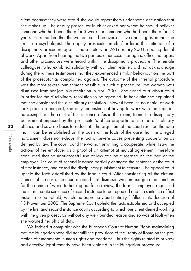client because they were afraid she would report them under some accusation that she makes up. The deputy prosecutor in chief asked her whom he should believe: someone who had been there for 3 weeks or someone who had been there for 13 years. He remarked that the woman could be oversensitive and suggested that she turn to a psychologist. The deputy prosecutor in chief ordered the initiation of a disciplinary procedure against the secretary on 26 February 2001, quoting denial of work. Apart from hearing the two parties, other case managers, office managers and other prosecutors were heard within the disciplinary procedure. The female colleagues, who exhibited solidarity with our client earlier, did not acknowledge during the witness testimonies that they experienced similar behaviour on the part of the prosecutor as complained against. The outcome of the internal procedure was the most severe punishment possible in such a procedure: the woman was dismissed from her job in a resolution in April 2001. She turned to a labour court in order for the disciplinary resolution to be repealed. In her claim she explained that she considered the disciplinary resolution unlawful because no denial of work took place on her part, she only requested not having to work with the superior harassing her. The court of first instance refused the claim, found the disciplinary punishment imposed by the prosecutor's office proportionate to the disciplinary offence and saw no basis to reduce it. The argument of the court rests on the idea that it can be established on the basis of the facts of the case that the alleged harassment does not exhaust the fact of severe cause preventing cooperation as defined by law. The court found the woman unwilling to cooperate, while it saw the actions of the employer as a proof of an attempt at mutual agreement, therefore concluded that no unpurposeful use of law can be discerned on the part of the employer. The court of second instance partially changed the sentence of the court of first instance, and eased the disciplinary punishment to censure. The appeal court upheld the facts established by the labour court. After considering all the circumstances of the case, the court decided that dismissal was an exaggerated sanction for the denial of work. In her appeal for a review, the former employee requested the intermediate sentence of second instance to be repealed and the sentence of first instance to be upheld, which the Supreme Court entirely fulfilled in its decision of 13 November 2002. The Supreme Court upheld the facts established and accepted by the first and second instance courts according to which our client denied working with the given prosecutor without any well-founded reason and so was at fault when she violated her official duty.

We lodged a complaint with the European Court of Human Rights maintaining that the Hungarian state did not fulfil the provisions of the Treaty of Rome on the protection of fundamental human rights and freedoms. Thus the rights related to privacy and effective legal remedy have been violated in the Hungarian procedure.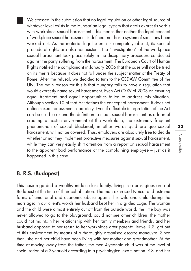We stressed in the submission that no legal regulation or other legal source of whatever level exists in the Hungarian legal system that deals expressis verbis with workplace sexual harassment. This means that neither the legal concept of workplace sexual harassment is defined, nor has a system of sanctions been worked out. As the material legal source is completely absent, its special procedural rights are also nonexistent. The "investigation" of the workplace sexual harassment took place solely in the disciplinary procedure conducted against the party suffering from the harassment. The European Court of Human Rights notified the complainant in January 2006 that the case will not be tried on its merits because it does not fall under the subject matter of the Treaty of Rome. After the refusal, we decided to turn to the CEDAW Committee of the UN. The main reason for this is that Hungary fails to have a regulation that would expressly name sexual harassment. Even Act CXXV of 2003 on ensuring equal treatment and equal opportunities failed to address this situation. Although section 10 of that Act defines the concept of harassment, it does not define sexual harassment separately. Even if a flexible interpretation of the Act can be used to extend the definition to mean sexual harassment as a form of creating a hostile environment at the workplace, the extremely frequent phenomenon of sexual blackmail, in other words quid pro quo sexual harassment, will not be covered. Thus, employers are absolutely free to decide whether or not they implement protective measures against sexual harassment, while they can very easily shift attention from a report on sexual harassment to the apparent bad performance of the complaining employee – just as it happened in this case.

### 8. R.S. (Budapest)

This case regarded a wealthy middle class family, living in a prestigious area of Budapest at the time of their cohabitation. The man exercised typical and extreme forms of emotional and economic abuse against his wife and child during the marriage; in our client's words her husband kept her in a gilded cage. The woman and the child were almost entirely cut off from the outside world, the little boy was never allowed to go to the playground, could not see other children, the mother could not maintain her relationship with her family members and friends, and her husband opposed to her return to her workplace after parental leave. R.S. got out of this environment by means of a thoroughly organised escape maneuvre. Since then, she and her child have been living with her mother and grandmother. At the time of moving away from the father, the then 4-year-old child was at the level of socialisation of a 2-year-old according to a psychological examination. R.S. and her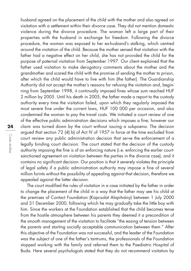husband agreed on the placement of the child with the mother and also agreed on visitation with a settlement within their divorce case. They did not mention domestic violence during the divorce procedure. The woman left a large part of their properties with the husband in exchange for freedom. Following the divorce procedure, the woman was exposed to her ex-husband's stalking, which centred around the visitation of the child. Because the mother sensed that visitation with the father had a negative effect on her child, she has not provided the child for the purpose of paternal visitation from September 1997. Our client explained that the father used visitation to make derogatory comments about the mother and the grandmother and scared the child with the promise of sending the mother to prison, after which the child would have to live with him (the father). The Guardianship Authority did not accept the mother's reasons for refusing the visitation and, beginning from September 1998, it continually imposed fines whose sum reached HUF 2 million by 2005. Until his death in 2005, the father made a report to the custody authority every time the visitation failed, upon which they regularly imposed the most severe fine under the current laws, HUF 100 000 per occasion, and also condemned the woman to pay the travel costs. We initiated a court review of one of the effective public administration decisions which imposes a fine; however our claim was turned down by the court without issuing a subpoena. The decision argued that section 72 (4) b) of Act IV of 1957 in force at the time excluded from court review any public administration decision that serve the enforcement of a legally binding court decision. The court stated that the decision of the custody authority imposing the fine is of an enforcing nature (i.e. enforcing the earlier courtsanctioned agreement on visitation between the parties in the divorce case), and it contains no significant decision. Our position is that it severely violates the principle of legal safety if a public administration authority may impose a fine of several million forints without the possibility of appealing against that decision, therefore we appealed against the latter decision.

The court modified the rules of visitation in a case initiated by the father in order to change the placement of the child in a way that the father may see his child at the premises of Contact Foundation (Kapcsolat Alapítvány) between 1 July 2000 and 31 December 2000, following which he may gradually take the little boy with him. Since the workers at the Foundation established that the child becomes tense from the hostile atmosphere between his parents they deemed it a precondition of the smooth management of the visitation to facilitate "the easing of tension between the parents and starting socially acceptable communication between them." After this objective of the Foundation was not successful, and the leader of the Foundation was the subject of one of the father's tantrums, the professionals of the Foundation stopped working with the family and referred them to the Paediatric Hospital of Buda. Here several psychologists stated that they do not recommend visitation by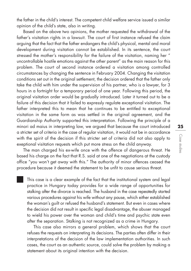the father in the child's interest. The competent child welfare service issued a similar opinion of the child's state, also in writing.

Based on the above two opinions, the mother requested the withdrawal of the father's visitation rights in a lawsuit. The court of first instance refused the claim arguing that the fact that the father endangers the child's physical, mental and moral development during visitation cannot be established. In its sentence, the court stressed the mother's responsibility for the failure of the visitation, naming her " uncontrollable hostile emotions against the other parent" as the main reason for this problem. The court of second instance ordered a visitation among controlled circumstances by changing the sentence in February 2004. Changing the visitation conditions set out in the original settlement, the decision ordered that the father only take the child with him under the supervision of his partner, who is a lawyer, for 3 hours in a fortnight for a temporary period of one year. Following this period, the original visitation order would be gradually introduced. Later it turned out to be a failure of this decision that it failed to expressly regulate exceptional visitation. The father interpreted this to mean that he continues to be entitled to exceptional visitation in the same form as was settled in the original agreement, and the Guardianship Authority supported this interpretation. Following the principle of a minori ad maius in interpreting law, we argued that because the court introduced a stricter set of criteria in the case of regular visitation, it would not be in accordance with the spirit of the decision if this stricter set of criteria did not also apply to exeptional visitation requests which put more stress on the child anyway.

The man charged his ex-wife once with the offence of dangerous threat. He based his charge on the fact that R.S. said at one of the negotiations at the custody office "you won't get away with this." The authority of minor offences ceased the procedure because it deemed the statement to be unfit to cause serious threat.

This case is a clear example of the fact that the institutional system and legal practice in Hungary today provides for a wide range of opportunities for stalking after the divorce is reached. The husband in the case repeatedly started various procedures against his wife without any pause, which either established the woman's guilt or refused the husband's statement. But even in cases where the decision did not result in specific legal disadvantage, the abuser managed to wield his power over the woman and child's time and psychic state even after the separation. Stalking is not recognized as a crime in Hungary.

This case also mirrors a general problem, which shows that the court refuses the requests on interpreting its decisions. The parties often differ in their interpretations of the decision of the law implementation authorities. In such cases, the court as an authentic source, could solve the problem by making a statement about its original intention with the decision.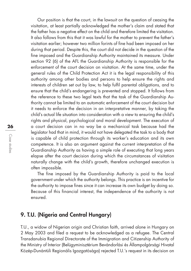Our position is that the court, in the lawsuit on the question of ceasing the visitation, at least partially acknowledged the mother's claim and stated that the father has a negative effect on the child and therefore limited the visitation. It also follows from this that it was lawful for the mother to prevent the father's visitation earlier; however two million forints of fine had been imposed on her during that period. Despite this, the court did not decide in the question of the fine imposed and the Guardianship Authority maintained its measure. Under section 92 (6) of the AFL the Guardianship Authority is responsible for the enforcement of the court decision on visitation. At the same time, under the general rules of the Child Protection Act it is the legal responsibility of this authority among other bodies and persons to help ensure the rights and interests of children set out by law, to help fulfil parental obligations, and to ensure that the child's endangering is prevented and stopped. It follows from the reference to these two legal texts that the task of the Guardianship Authority cannot be limited to an automatic enforcement of the court decision but it needs to enforce the decision in an interpretative manner, by taking the child's actual life situation into consideration with a view to ensuring the child's rights and physical, psychological and moral development. The execution of a court decision can in no way be a mechanical task because had the legislator had that in mind, it would not have delegated the task to a body that is capable of child protection through its worker's education and its own competence. It is also an argument against the current interpretation of the Guardianship Authority as having a simple role of executing that long years elapse after the court decision during which the circumstances of visitation naturally change with the child's growth, therefore unchanged execution is often impossible.

The fine imposed by the Guardianship Authority is paid to the local government under which the authority belongs. This practice is an incentive for the authority to impose fines since it can increase its own budget by doing so. Because of this financial interest, the independence of the authority is not ensured.

### 9. T.U. (Nigeria and Central Hungary)

T.U., a widow of Nigerian origin and Christian faith, arrived alone in Hungary on 2 May 2003 and filed a request to be acknowledged as a refugee. The Central Transdanubia Regional Directorate of the Immigration and Citizenship Authority of the Ministry of Interior (Belügyminisztérium Bevándorlási és Állampolgársági Hivatal Közép-Dunántúli Regionális Igazgatósága) rejected T.U.'s request in its decision on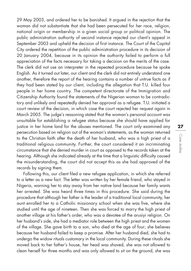29 May 2003, and ordered her to be banished. It argued in the rejection that the woman did not substantiate that she had been persecuted for her race, religion, national origin or membership in a given social group or political opinion. The public administration authority of second instance rejected our client's appeal in September 2003 and upheld the decision of first instance. The Court of the Capital City ordered the repetition of the public administration procedure in its decision of 20 January 2004, because in its opinion the authority failed to perform a full appreciation of the facts necessary for taking a decision on the merits of the case. The clerk did not use an interpreter in the repeated procedure because he spoke English. As it turned out later, our client and the clerk did not entirely understand one another, therefore the report of the hearing contains a number of untrue facts as if they had been stated by our client, including the allegation that T.U. killed four people in her home country. The competent directorate of the Immigration and Citizenship Authority found the statements of the Nigerian woman to be contradic tory and unlikely and repeatedly denied her approval as a refugee. T.U. initiated a court review of the decision, in which case the court rejected her request again in March 2005. The judge's reasoning stated that the woman's personal account was unsuitable for establishing a refugee status because she should have applied for justice in her home land for the abuses mentioned. The court only examined any persecution based on religion out of the woman's statements, as the woman returned to the Christian faith after the death of her husband, who was a high priest of a traditional religious community. Further, the court considered it an incriminating circumstance that she denied murder in court as opposed to the records taken at the hearing. Although she indicated already at the time that a linguistic difficulty caused the misunderstanding, the court did not accept this as she had approved of the records by signing them.

Following this, our client filed a new refugee application, in which she referred to a letter as a new fact. The letter was written by her female friend, who stayed in Nigeria, warning her to stay away from her native land because her family wants her arrested. She was heard three times in this procedure. She said during the procedure that although her father is the leader of a traditional local community, her aunt enrolled her to a Catholic missionary school when she was five, where she studied until the age of nineteen. Then she was forced to marry the high priest of another village at his father's order, who was a devotee of the arusiyi religion. On her husband's side, she had a mediator role between the high priest and the women of the village. She gave birth to a son, who died at the age of four; she believes because her husband failed to keep a promise. After her husband died, she had to undergo the widow rituals customary in the local community. During these rituals she moved back to her father's house, her head was shaved, she was not allowed to clean herself for three months and was only allowed to sit on the ground, she was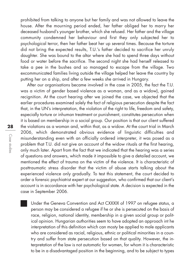prohibited from talking to anyone but her family and was not allowed to leave the house. After the mourning period ended, her father obliged her to marry her deceased husband's younger brother, which she refused. Her father and the village community condemned her behaviour and first they only subjected her to psychological terror, then her father beat her up several times. Because the torture did not bring the expected results, T.U.'s father decided to sacrifice her unruly daughter. She was bound to the altar where she had to spend three days without food or water before the sacrifice. The second night she had herself released to take a pee in the bushes and so managed to escape from the village. Two excommunicated families living outside the village helped her leave the country by putting her on a ship, and after a few weeks she arrived in Hungary.

After our organisations became involved in the case in 2005, the fact the T.U. was a victim of gender based violence as a woman, and as a widow), gained recignition. At the court hearing after we joined the case, we objected that the earlier procedures examined solely the fact of religious persecution despite the fact that, in the UN's interpretation, the violation of the right to life, freedom and safety, especially torture or inhuman treatment or punishment, constitutes persecution when it is based on membership in a social group. Our position is that our client suffered the violations as a woman and, within that, as a widow. At the court trial in March 2006, which demonstrated obvious evidence of linguistic difficulties and misunderstanding even with an officially ordered interpreter, it was posed as a problem that T.U. did not give an account of the widow rituals at the first hearing, only much later. Apart from the fact that we indicated that the hearing was a series of questions and answers, which made it impossible to give a detailed account, we mentioned the effect of trauma on the victim of the violence. It is characteristic of posttraumatic stress disorder that the victim of abuse starts talking about the experienced violence only gradually. To test this statement, the court decided to order a forensic psychiatrist expert at our suggestion, who confirmed that our client's account is in accordance with her psychological state. A decision is expected in the case in September 2006.

Under the Geneva Convention and Act CXXXIX of 1997 on refugee status, a person may be considered a refugee if he or she is persecuted on the basis of race, religion, national identity, membership in a given social group or political opinion. Hungarian authorities seem to have adopted an approach int he interpretation of this definition which can mosty be applied to male applicants who are considered as racial, religious, ethnic or political minorities in a country and suffer from state persecution based on that quality. However, the interpretation of the law is not automatic for women, for whom it is characteristic to be in a disadvantaged position in the beginning, and to be subject to types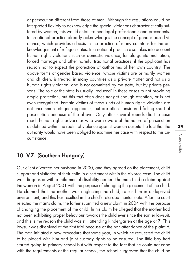of persecution different from those of men. Although the regulations could be interpreted flexibly to acknowledge the special violations characteristically suffered by women, this would entail trained legal professionals and precedents. International practice already acknowledges the concept of gender based violence, which provides a basis in the practice of many countries for the acknowledgement of refugee status. International practice also takes into account human rights violations such as domestic violence, female genital mutilation, forced marriage and other harmful traditional practices, if the applicant has reason not to expect the protection of authorities of her own country. The above forms of gender based violence, whose victims are primarily women and children, is treated in many countries as a private matter and not as a human rights violation, and is not committed by the state, but by private persons. The role of the state is usually 'reduced' in these cases to not providing ample protection, but this fact often does not get enough attention, or is not even recognized. Female victims of these kinds of human rights violation are not uncommon refugee applicants, but are often considered falling short of persecution because of the above. Only after several rounds did the case reach human rights advocates who were aware of the nature of persecution as defined within the realm of violence against women despite the fact that the authority would have been obliged to examine her case with respect to this circumstance.

### 10. V.Z. (Southern Hungary)

Our client divorced her husband in 2000, and they agreed on the placement, child support and visitation of their child in a settlement within the divorce case. The child was diagnosed with a mild mental disability earlier. The man filed a claim against the woman in August 2001 with the purpose of changing the placement of the child. He claimed that the mother was neglecting the child, raises him in a deprived environment, and this has resulted in the child's retarded mental state. After the court rejected the man's claim, the father submitted a new claim in 2004 with the purpose of changing the placement of the child. In his claim he alleged that the mother had not been exhibiting proper behaviour towards the child ever since the earlier lawsuit, and this is the reason the child was still attending kindergarten at the age of 7. This lawsuit was dissolved at the first trial because of the non-attendance of the plaintiff. The man initiated a new procedure that same year, in which he requested the child to be placed with him and joint custody rights to be ensured. The little boy had started going to primary school but with respect to the fact that he could not cope with the requirements of the regular school, the school suggested that the child be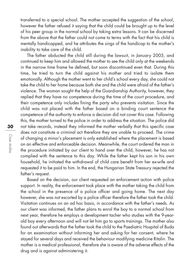transferred to a special school. The mother accepted the suggestion of the school, however the father refused it saying that the child could be brought up to the level of his peer group in the normal school by taking extra lessons. It can be discerned from the above that the father could not come to terms with the fact that his child is mentally handicapped, and he attributes the sings of the handicap to the mother's inability to take care of the child.

The father abducted the child still during the lawsuit, in January 2005, and continued to keep him and allowed the mother to see the child only at the weekends in the narrow time frame he defined, but soon discontinued even that. During this time, he tried to turn the child against his mother and tried to isolate them emotionally. Although the mother went to her child's school every day, she could not take the child to her home because both she and the child were afraid of the father's violence. The woman sought the help of the Guardianship Authority, however, they replied that they have no competence during the time of the court procedure, and their competence only includes fining the party who prevents visitation. Since the child was not placed with the father based on a binding court sentence the competence of the authority to enforce a decision did not cover this case. Following this, the mother turned to the police in order to address the situation. The police did not take records, instead they informed the mother verbally that this specific case does not constitute a criminal act therefore they are unable to proceed. The crime of changing a minor's placement is only established where the placement is based on an effective and enforceable decision. Meanwhile, the court ordered the man in the procedure initiated by our client to hand over the child, however, he has not complied with the sentence to this day. While the father kept his son in his own household, he initiated the withdrawal of child care benefit from her ex-wife and requested it to be paid to him. In the end, the Hungarian State Treasury rejected the father's request.

Based on the decision, our client requested an enforcement action with police support. In reality, the enforcement took place with the mother taking the child from the school in the presence of a police officer and going home. The next day however, she was not escorted by a police officer therefore the father took the child. Visitation continues on an ad hoc basis, in accordance with the father's needs. As our client was informed, the father plans to enrol the boy to a normal school from next year, therefore he employs a development tacher who studies with the 9-yearold boy every afternoon and will not let him go to sports trainings. The mother also found out afterwards that the father took the child to the Paediatric Hospital of Buda for an examination without informing her and asking for her consent, where he stayed for several days and received the behaviour modifying medicine Ritalin. The mother is a medical professional, therefore she is aware of the adverse effects of the drug and is against administering it.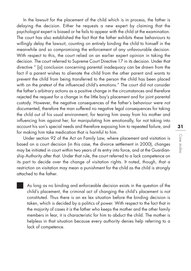In the lawsuit for the placement of the child which is in process, the father is delaying the decision. Either he requests a new expert by claiming that the psychologist expert is biased or he fails to appear with the child at the examination. The court has also established the fact that the father exhibits these behaviours to willingly delay the lawsuit, counting on entirely binding the child to himself in the meanwhile and so compromising the enforcement of any unfavourable decision. With respect to this, the court relied on an earlier expert opinion in taking the decision. The court referred to Supreme Court Directive 17 in its decision. Under that directive " [a] conclusion concerning parental inadequacy can be drawn from the fact if a parent wishes to alienate the child from the other parent and wants to prevent the child from being transferred to the person the child has been placed with on the pretext of the influenced child's emotions." The court did not consider the father's arbitrary actions as a positive change in the circumstances and therefore rejected the request for a change in the little boy's placement and for joint parental custody. However, the negative consequences of the father's behaviour were not documented, therefore the man suffered no negative legal consequences for taking the child out of his usual environment, for tearing him away from his mother and influencing him against her, for manipulating him emotionally, for not taking into account his son's special needs and therefore exposing him to repeated failure, and for making him take medication that is harmful to him.

Under section 92 of the Act on Family Law, where placement and visitation is based on a court decision (in this case, the divorce settlement in 2000), changes may be initiated in court within two years of its entry into force, and at the Guardianship Authority after that. Under that rule, the court referred to a lack competence on its part to decide over the change of visitation rights. It noted, though, that a restriction on visitation may mean a punishment for the child as the child is strongly attached to the father.

As long as no binding and enforceable decision exists in the question of the child's placement, the criminal act of changing the child's placement is not constituted. Thus there is an ex lex situation before the binding decision is taken, which is decided by a politics of power. With respect to the fact that in the majority of cases it is the father who keeps the mother and the other family members in fear, it is characteristic for him to abduct the child. The mother is helpless in that situation because every authority denies help referring to a lack of competence.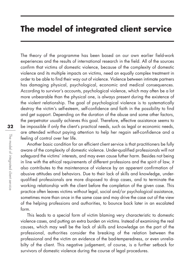### **The model of integrated client service**

The theory of the programme has been based on our own earlier field-work experiences and the results of international research in the field. All of the sources confirm that victims of domestic violence, because of the complexity of domestic violence and its multiple impacts on victims, need an equally complex treatment in order to be able to find their way out of violence. Violence between intimate partners has damaging physical, psychological, economic and medical consequences. According to survivor's accounts, psychological violence, which may often be a lot more unbearable than the physical one, is always present during the existence of the violent relationship. The goal of psychological violence is to systematically destroy the victim's self-esteem, self-confidence and faith in the possibility to find and get support. Depending on the duration of the abuse and some other factors, the perpetrator usually achieves this goal. Therefore, effective assistance seems to be impossible if only the client's practical needs, such as legal or economic needs, are attended without paying attention to help her regain self-confidence and a feeling of control over her life.

Another basic condition for an efficient client service is that practitioners be fully aware of the complexity of domestic violence. Under-qualified professionals will not safeguard the victims' interests, and may even cause futher harm. Besides not being in line with the ethical requirements of different professions and the spirit of law, it also contributes to the maintenance of violence by an apperent confirmation of abusive attitudes and behaviors. Due to their lack of skills and knowledge, underqualified professionals are more disposed to drop cases, and to terminate the working relationship with the client before the completion of the given case. This practice often leaves victims without legal, social and/or psychological assistance, sometimes more than once in the same case and may drive the case out of the view of the helping professions and authorities, to bounce back later in an escalated form.

This leads to a special form of victim blaming very characteristic to domestic violence cases, and putting an extra burden on victims. Instead of examining the real causes, which may well be the lack of skills and knowledge on the part of the professional, authorities consider the breaking of the relation between the professional and the victim an evidence of the bad-temperedness, or even unreliabilty of the client. This negative judgement, of course, is a further setback for survivors of domestic violence during the course of legal procedures.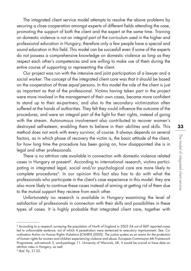The intagrated client service model attempts to resolve the above problems by securing a close cooperation amongst experts of different fields attending the case, promoting the support of both the client and the expert at the same time. Training on domestic violence is not an integral part of the curriculum used in the higher and professional education in Hungary, therefore only a few people have a special and sound education in this field. This model can be succesfull even if some of the experts do not possess a comprehensive knowledge on domestic violence as long as they respect each other's competences and are willing to make use of them during the entire course of supporting or representing the client.

Our project was run with the intensive and joint participation of a lawyer and a social worker. The concept of the integrated client care was that it should be based on the cooperation of three equal persons. In this model the role of the client is just as important as that of the professional. Victims having taken part in the project were more involved in the management of their own cases, became more confident to stand up to their ex-partners, and also to the secondary victimization often suffered at the hands of authorities. They felt they could influence the outcome of the procedures, and were an integral part of the fight for their rights, instead of going with the stream. Autonomous involvement also contributed to recover women's destroyed self-esteem, enabling them to believe in their abilities and skills. This method does not work with every survivor, of course. It always depends on several factors, as in which phase of recovery the victim is, the basic attitude of the client, for how long time the procedure has been going on, how disappointed she is in legal and other professionals.

There is no attrition rate available in connection with domestic violence related cases in Hungary at present<sup>2</sup>. According to international research, victims participating in integrated legal, social and/or psychological care are more likely to complete procedures<sup>3</sup>. In our opinion this fact also has to do with what the professionals who participate in the client's case experience in this model: they are also more likely to continue these cases instead of aiming at getting rid of them due to the mutual support they recieve from each other.

Unfortunately no research is available in Hungary examining the level of satisfaction of professionals in connection with their skills and possibilities in these types of cases. It is highly probable that integrated client care, together with

<sup>2</sup> According to a research surveying the population of North of England in 2003 34 out of 869 reported cases led to unfavorable sentence, out of which 4 perpetrators were sentenced to executory imprisonment. See: Coordination Action on Human Rights Violations (CAHRV) (2005): The justice system as an arena for the protection of human rights for women and children experiencing violence and abuse. European Commission 6th Framework Programme, sub-network 3, work-package 11. University of Warwick, UK. It would be crucial to have data on attrition rates in Hungary, as well.

<sup>3</sup> Ibid. Pp. 21-22.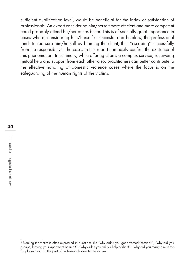sufficient qualification level, would be beneficial for the index of satisfaction of professionals. An expert considering him/herself more efficient and more competent could probably attend his/her duties better. This is of specially great importance in cases where, considering him/herself unsuccesful and helpless, the professional tends to reassure him/herself by blaming the client, thus "escaping" successfully from the responsibilty4. The cases in this report can easily confirm the existence of this phenomenon. In summary, while offering clients a complex service, receiveing mutual help and support from each other also, practitioners can better contribute to the effective handling of domestic violence cases where the focus is on the safeguarding of the human rights of the victims.

<sup>4</sup> Blaming the victim is often expressed in questions like "why didn't you get divorced/escape?", "why did you escape, leaving your apartment behind?", "why didn't you ask for help earlier?", "why did you marry him in the fist place?" etc. on the part of professionals directed to victims.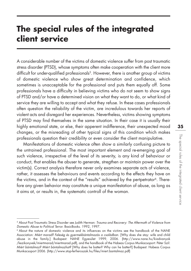## **The special rules of the integrated client service**

A considerable number of the victims of domestic violence suffer from post traumatic stress disorder (PTSD), whose symptoms often make cooperation with the client more difficult for under-qualified professionals<sup>5</sup>. However, there is another group of victims of domestic violence who show great determination and confidence, which sometimes is unacceptable for the professional and puts them equally off. Some professionals have a difficulty in believing victims who do not seem to show signs of PTSD and/or have a determined vision on what they want to do, or what kind of service they are willing to accept and what they refuse. In these cases professionals often question the reliability of the victim, are incredulous towards her reports of violent acts and disregard her experiences. Nevertheless, victims showing symptoms of PTSD may find themselves in the same situation. In their case it is usually their highly emotional state, or else, their apperent indifference, their unexpected mood changes, or the misreading of other typical signs of this condition which makes professionals question their credibility or even consider the client manipulative.

Manifestations of domestic violence often show a similarly confusing picture to the untrained professional. The most important element and re-emerging goal of such violence, irrespective of the level of its severity, is any kind of behaviour or conduct, that enables the abuser to generate, stregthen or maintain power over the victim(s). Correct analysis therefore never only examines separate acts of violence, rather, it assesses the behaviours and events according to the effects they have on the victims, and in the context of the "results" achieved by the pertpetrator<sup>6</sup>. Therefore any given behavior may constitute a unique manifestation of abuse, as long as it aims at, or results in, the systematic controll of the woman.

<sup>5</sup> About Post Traumatic Stress Disorder see Judith Herman: Trauma and Recovery: The Aftermath of Violence from Domestic Abuse to Political Terror. BasicBooks. 1992, 1997.

<sup>6</sup> About the nature of domestic violence and its influences on the victims see the handbook of the NANE Association: Miért marad? Feleség és gyermekbántalmazás a családban. [Why does she stay: wife and child abuse in the family.] Budapest: NANE Egyesület 1999, 2006. (http://www.nane.hu/kiadvanyok /kezikonyvek/miertmarad/miertmarad.pdf), and the handbook of the Habeas Corpus Munkacsoport: Péter Szil: Miért bántalmaz? Miért bántalmazhat? [Why does he batter? Why can he batter?] Budapest: Habeas Corpus Munkacsoport 2006. (http://www.stop-ferfieroszak.hu/files/miert.bantalmaz.pdf)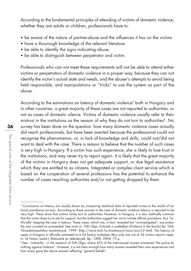According to the fundamental principles of attending of victims of domestic violence, whether they are adults or children, professionals have to:

- be aware of the nature of partner-abuse and the influences it has on the victims
- have a thourough knowledge of the relevant literature
- be able to identify the sians indicating abuse,
- be able to distinguish between perpetrator and victim.

Professionals who can not meet these requirements will not be able to attend either victims or perpetrators of domestic violence in a proper way, because they can not identify the victim's actual state and needs, and the abuser's attempts to avoid being held responsible, and manipulations or "tricks" to use the system as part of the abuse.

According to the estimations on latency of domestic violence<sup>7</sup> both in Hungary and in other countries, a great majority of these cases are not reported to authorities, or not as cases of domestic vilence. Victims of domestic violence usually refer to their mistrust in the institutions as the reason of why they do not turn to authorities<sup>8</sup>. No survey has been done on the question: how many domestic violence cases actually did reach professionals, but have been averted because the professional could not recognise the phenomenon, or, in lack of knowledge and skills, could not/did not want to deal with the case. There is reason to believe that the number of such cases is very high in Hungary. If a victim has such experience, she is likely to lose trust in the institutions, and may never try to report again. It is likely that the great majority of the victims in Hungary does not get adequate support, or due legal assistance which they are entitled to as citizens. Integrated or complex client service which is based on the cooperation of several professions has the potential to enhance the number of cases reaching authorities and/or not getting dropped by them.

 $7$  Conclusions on latency are usually drawn by comparing statistical data of reported crimes to the results of national prevelance surveys. According to these sources in the case of domestic violence latency is reported to be very high. These show that victims rarely turn to authorities. However, in Hungary, it is also realtivelly common that the victim does try to ask for support, but the authorities suggest her not to initiate official procedure, thus "artificially" keeping the case in latency. These cases, which are, in fact, revealed but "uninvestigated", are probably also counted as unrevealed. See more in: Tóth Olga: Erőszak a családban [Violence in the family] Bp. Tárki Társadalompolitikai tanulmányok. 1999. (http://www.tarki.hu/kiadvany-h/soco/soco12.html). The latency of rapes in Hungary is officially estimated at a 24 factors multiplyer (thus only one out of 24 victims reports rape). In: Irk Ferenc (szerk.) Áldozatok és vélemények. Bp.: OKRI. 2004. 75.p.

<sup>8</sup> See – indirectly – in the research of Tóth Olga, where 45% of the interviewed women answered "the police do nothing against violence". However, it is not clear enough how many women revealed their own experiences and how many gave the above answer reflecting "general beliefs".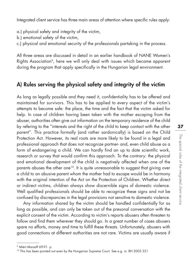Integrated client service has three main areas of attention where specific rules apply:

- a.) physical safety and integrity of the victim,
- b.) emotional safety of the victim,
- c.) physical and emotional security of the professionals partaking in the process.

All three areas are discussed in detail in an earlier handbook of NANE Women's Rights Association<sup>9</sup>, here we will only deal with issues which became apparent during the program that apply specifically in the Hungarian legal environment.

### A) Rules serving the physical safety and integrity of the victim

As long as legally possible and they need it, confidentiality has to be offered and maintained for survivors. This has to be applied to every aspect of the victim's attempts to become safe: the place, the time and the fact that the victim asked for help. In case of children having been taken with the mother escaping from the abuser, authorities often give out information on the temporary residence of the child by refering to the "interests and the right of the child to keep contact with the other parent". This practice formally (and rather sardonically) is based on the Child Protection Act. However, its real roots are more likely to be found in a legal and professional approach that does not recognize partner- and, even child abuse as a form of endangering a child. We can hardly find an up to date scientific work, research or survey that would confirm this approach. To the contrary: the physical and emotional development of the child is negatively affected when one of the parents abuses the other one<sup>10</sup>. It is quite unreasonable to suggest that giving over a child to an abusive parent whom the mother had to escape would be in harmony with the original intention of the Act on the Protection of Children. Whether direct or indirect victims, children always show discernible signs of domestic violence. Well qualified professionals should be able to recognize these signs and not be confused by discrepancies in the legal provisions not sensitive to domestic violence.

Any information shared by the victim should be handled confidentially for as long as possible, and can only be taken out of the presonal conversation with the explicit consent of the victim. According to victim's reports abusers often threaten to follow and find them wherever they should go. In a great number of cases abusers spare no efforts, money and time to fulfill these threats. Unfortunately, abusers with good connections at different authorities are not rare. Victims are usually aware if

<sup>9</sup> Miért Marad? 69-91. p.

<sup>&</sup>lt;sup>10</sup> This has been pointed out even by the Hungarian Supreme Court. See e.g. in: BH 2005.321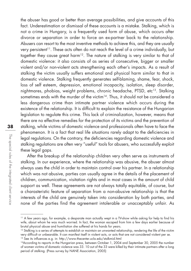the abuser has good or better than average possibilities, and give accounts of this fact. Underestimation or dismissal of these accounts is a mistake. Stalking, which is not a crime in Hungary, is a frequently used form of abuse, which occurs after divorce or separation in order to force an ex-partner back to the relationship. Abusers can resort to the most inventive methods to achieve this, and they are usually very persistent<sup>11</sup>. These acts often do not reach the level of a crime individually, but together they cause great harm<sup>12</sup>. The nature of stalking is very similar to that of domestic violence: it also consists of as series of consecutive, bigger or smaller violent and/or non-violent acts strengthening each other's impacts. As a result of stalking the victim usually suffers emotional and physical harm similar to that in domestic violence. Stalking frequently generates self-blaming, shame, fear, shock, loss of self esteem, depression, emotional incapacity, isolation, sleep disorder, nightmares, phobias, weight problems, chronic headache, PTSD, etc<sup>13</sup>. Stalking sometimes ends with the murder of the victim<sup>14</sup>. Thus, it should not be considered a less dangerous crime than intimate partner violence which occurs during the existence of the relationship. It is difficult to explain the resistance of the Hungarian legislation to regulate this crime. This lack of criminalization, however, means that there are no effective remedies for the protection of its victims and the prevention of stalking, while victims of domestic violence and professionals often have to face the phenomenon. It is a fact that real life situations rarely adapt to the deficiencies in legal regulations. On the contrary, the deficiencies regarding domestic violence and stalking regulations are often very "useful" tools for abusers, who successfully exploit these legal gaps.

After the breakup of the relationship children very often serve as instruments of stalking. In our experience, where the relationship was abusive, the abuser almost always uses the child in order to maintain control over his partner. In a relationship which was not abusive, parties can usually agree in the details of the placement of children, communication, visitation rights and in most cases in the amount of child support as well. These agreements are not always totally equitable, of course, but a charasteristic feature of separation from a non-abusive relationship is that the interests of the child are genuinely taken into consideration by both parties, and none of the parties find the agreement intolerable or unacceptably unfair. As

<sup>11</sup> A few years ago, for example, a desparate man actually wept in a TV-show while asking for help to find his wife, about whom he was much worried. In fact, the woman escaped from him a few days earlier because of brutal physical abuse and humiliation she suffered at his hands for years.

 $12$  Stalking is a series of attempts to establish or maintain an unwanted relationship, rendering the life of the victim very difficult or unbearable. It can manifest itself in violent acts, or acts that are not considered violent per se.<br><sup>13</sup> See its influences e.g. in: http://www.thecenter.ucla.edu/stalkmid.html

<sup>&</sup>lt;sup>14</sup> According to reports in the Hungarian press, between October 1, 2004 and September 30, 2005 the number of women victims of domestic violence was 33. 10 out of the 33 were killed by their intimate partners after a long period of stalking. (Press survey by NANE Association, 2005)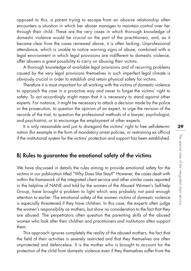opposed to this, a parent trying to escape from an abusive relationship often encounters a situation in which her abuser manages to maintain control over her through their child. These are the very cases in which thorough knowledge of domestic violence would be crucial on the part of the practitioners, and, as it became clear from the cases reviewed above, it is often lacking. Unprofessional attendance, which is unable to notice warning signs of abuse, combined with a legal environment in which legal provisions are indifferent to domestic violence, offer abusers a great possibility to carry on abusing their victims.

A thorough knowledge of available legal provisions and of recurring problems caused by the very legal provisions themselves in such imperfect legal climate is obviously crucial in order to establish and retain physical safety for victims.

Therefore it is most important for all working with the victims of domestic violence to approach the case in a proactive way and never to forget the victims' right to safety. To act accordingly might mean that it is necessary to stand against other experts. For instance, it might be necessary to attack a decision made by the police or the prosecution, to question the opinion of an expert, to urge the revision of the records of the trial, to question the professional methods of a lawyer, psychologist, and psychiatrist, or to encourage the employment of other experts.

It is only reasonable and just to disregard the victims' right to free self-determination (for example in the form of mandatory arrest policies, or restraining ex officio) if the institutional system for the victims' protection and support has been established.

### B) Rules to guarantee the emotional safety of the victims

We have discussed in details the rules aiming to provide emotional safety for the victims in our publication titled "Why Does She Stay?" However, the cases dealt with within the framework of the integrated client service and other similar cases reported in the helpline of NANE and told by the women of the Abused Women's Self-help Group, have brought a problem to light which was probably not paid enough attention to earlier. The emotional safety of the women victims of domestic violence is especially threatened if they have children. In this case, the experts often judge the women's responsibility as mothers, but show no consideration to the fact that they are abused. The perpetrators often question the parenting skills of the abused women who look after their children and practitioners and institutions often support them.

This approach ignores completely the reality of the abused mothers, the fact that the field of their activities is severely restricted and that they themselves are often unprotected and defenceless. It is the mother who is brought to account for the protection of the child from domestic violence even if they themselves suffer from the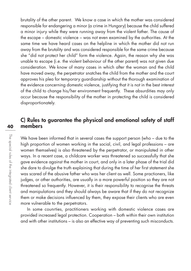brutality of the other parent. We know a case in which the mother was considered responsible for endangering a minor (a crime in Hungary) because the child suffered a minor injury while they were running away from the violent father. The cause of the escape – domestic violence – was not even examined by the authorities. At the same time we have heard cases on the helpline in which the mother did not run away from the brutality and was considered responsible for the same crime because she "did not protect her child" form the violence. Again, the reason why she was unable to escape (i.e. the violent behaviour of the other parent) was not given due consideration. We know of many cases in which after the woman and the child have moved away, the perpetrator snatches the child from the mother and the court approves his plea for temporary guardianship without the thorough examination of the evidence concerning domestic violence, justifying that it is not in the best interest of the child to change his/her environment frequently. These absurdities may only occur because the responsibility of the mother in protecting the child is considered disproportionately.

### C) Rules to guarantee the physical and emotional safety of staff members

We have been informed that in several cases the support person (who – due to the high proportion of women working in the social, civil, and legal professions – are women themselves) is also threatened by the perpetrator, or manipulated in other ways. In a recent case, a childcare worker was threatened so successfully that she gave evidence against the mother in court, and only in a later phase of the trial did she dare to divulge the truth explaining that during the time of her first statement she was scared of the abusive father who was her client as well. Some practioners, like judges, or other authorities, are usually in a more powerful position so they are not threatened so frequently. However, it is their responsibility to recognise the threats and manipulations and they should always be aware that if they do not recognize them or make decisions influenced by them, they expose their clients who are even more vulnerable to the perpetrators.

In some counrties, practitioners working with domestic violence cases are provided increased legal protection. Cooperation – both within their own institution and with other institutions – is also an effective way of preventing such misconducts.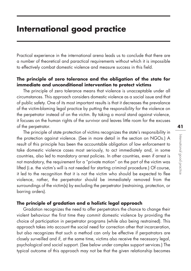### **International good practice**

Practical experience in the international arena leads us to conclude that there are a number of theoretical and paractical requirements without which it is impossible to effectively combat domestic violence and measure success in this field.

### **The principle of zero tolerance and the obligation of the state for immediate and unconditional intervention to protect victims**

The principle of zero tolerance means that violence is unacceptable under all circumstances. This approach considers domestic violence as a social issue and that of public safety. One of its most important results is that it decreases the prevalance of the victim-blaming legal practice by putting the responsibility for the violence on the perpetrator instead of on the victim. By taking a moral stand against violence, it focuses on the human rights of the survivor and leaves little room for the excuses of the perpetrator.

The principle of state protection of victims recognizes the state's responsibility in the protection against violence. (See in more detail in the section on NGOs.) A result of this principle has been the accountable obligation of law enforcement to take domestic violence cases most seriously, to act immediately and, in some countries, also led to mandatory arrest policies. In other countries, even if arrest is not mandatory, the requirement for a "private motion" on the part of the victim was lifted (i.e. the victim's will is not needed for starting criminal procedure.) Of course, it led to the recognition that it is not the victim who should be expected to flee violence, rather, the perpetrator should be immediately removed from the surroundings of the victim(s) by excluding the perpetrator (restraining, protection, or barring orders).

#### **The principle of gradation and a holistic legal approach**

Gradation recognizes the need to offer perpetrators the chance to change their violent behaviour the first time they commit domestic violence by providing the choice of participation in perpetrator programs (while also being restrained). This approach takes into account the social need for correction other that incarceration, but also recognizes that such a method can only be effective if perpatrators are closely surveilled and if, at the same time, victims also receive the necessary legal, psychological and social support. (See below under complex support services.) The typical outcome of this approach may not be that the given relationship becomes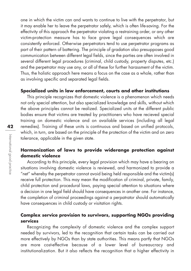one in which the victim can and wants to continue to live with the perpetrator, but it may enable her to leave the perpetrator safely, which is often life-saving. For the effectivity of this approach the perpetrator violating a restraining order, or any other victim-protection measure has to face grave legal consequences which are consistently enforced. Otherwise perpetrators tend to use perpetrator programs as part of their pattern of battering. The principle of gradation also presupposes good communication between different legal fields, since the parties are often involved in several different legal procedures (criminal, child custody, property disputes, etc.) and the perpetrator may use any, or all of these for further harassment of the victim. Thus, the holistic approach here means a focus on the case as a whole, rather than as involving specific and separated legal fields.

#### **Specialized units in law enforcement, courts and other institutions**

This principle recognizes that domestic violence is a phenomenon which needs not only special attention, but also specialized knowledge and skills, without which the above principles cannot be realized. Specialized units at the different public bodies ensure that victims are treated by practitioners who have recieved special training on domestic violence and on available services (including all legal remedies). Training of these units is continuous and based on unified protocols, which, in turn, are based on the principle of the protection of the victim and on zero tolerance, applicable in the given state.

### **Harmonization of laws to provide widerange protection against domestic violence**

According to this principle, every legal provision which may have a bearing on situations involving domestic violence is reviewed, and harmonized to provide a "net" whereby the perpetrator cannot avoid being held responsible and the victim(s) receive full protection. This may mean the modification of criminal, private, family, child protection and procedural laws, paying special attention to situations where a decision in one legal field should have consequences in another one. For instance, the completion of criminal proceedings against a perpatrator should automatically have consequences in child custody or visitation rights.

### **Complex service provision to survivors, supporting NGOs providing services**

Recognizing the complexity of domestic violence and the complex support needed by survivors, led to the recognition that certain tasks can be carried out more effectively by NGOs than by state authorities. This means partly that NGOs are more cost-effective because of a lower level of bureaucracy and institutionalization. But it also reflects the recognition that a higher effectivity in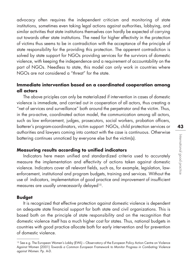advocacy often requires the independent criticism and monitoring of state institutions, sometimes even taking legal actions against authorities, lobbying, and similar activities that state institutions themselves can hardly be expected of carrying out towards other state institutions. The need for higher effectivity in the protection of victims thus seems to be in contradiction with the acceptance of the principle of state responsibility for the providing this protection. The apperent contradiction is solved by state support for NGOs providing services for the survivors of domestic violence, with keeping the independence and a requirement of accountability on the part of NGOs. Needless to state, this model can only work in countries where NGOs are not considered a "threat" for the state.

### **Immediate intervention based on a coordinated cooperation among all actors**

The above priciples can only be materialized if intervention in cases of domestic violence is immediate, and carried out in cooperation of all actors, thus creating a "net of services and surveillance" both around the perpetrator and the victim. Thus, in the pro-active, coordinated action model, the communication among all actors, such as law enforcement, judges, prosecutors, social workers, probation officers, batterer's program-coordinators, victim support NGOs, child protection services or authorities and lawyers coming into contact with the case is continuous. Otherwise battering continues unnoticed by everyone else but the victim(s).

### **Measuring results according to unified indicators**

Indicators here mean unified and standardized criteria used to accurately measure the implementation and effectivity of actions taken against domestic violence. Indicators cover all relevant fields, such as, for example, legislation, lawenforcement, institutional and program budgets, training and services. Without the use of indicators, implementation of good practice and improvement of insufficient measures are usually unnecessarily delayed<sup>15</sup>.

#### **Budget**

It is recognized that effective protection against domestic violence is dependent on adequate state financial support for both state and civil organizations. This is based both on the principle of state responsibility and on the recognition that domestic violence itself has a much higher cost for states. Thus, national budgets in countries with good practice allocate both for early intervention and for prevention of domestic violence.

<sup>15</sup> See e.g. The European Women's Lobby (EWL) – Observatory of the European Policy Action Centre on Violence Against Women (2001) Towards a Common European Framework to Monitor Progress in Combating Violence against Women. Pp. A-D.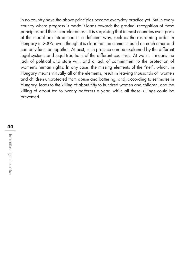In no country have the above principles become everyday practice yet. But in every country where progress is made it leads towards the gradual recognition of these principles and their interrelatedness. It is surprising that in most counrties even parts of the model are introduced in a deficient way, such as the restraining order in Hungary in 2005, even though it is clear that the elements build on each other and can only function together. At best, such practice can be explained by the different legal systems and legal traditions of the different countries. At worst, it means the lack of political and state will, and a lack of commitment to the protection of women's human rights. In any case, the missing elements of the "net", which, in Hungary means virtually all of the elements, result in leaving thousands of women and children unprotected from abuse and battering, and, according to estimates in Hungary, leads to the killing of about fifty to hundred women and children, and the killing of about ten to twenty batterers a year, while all these killings could be prevented.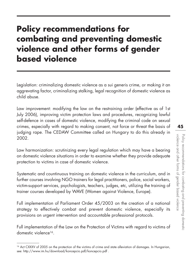# **Policy recommendations for combating and preventing domestic violence and other forms of gender based violence**

Legislation: criminalizing domestic violence as a sui generis crime, or making it an aggrevating factor, criminalizing stalking, legal recognition of domestic violence as child abuse.

Law improvement: modifying the law on the restraining order (effective as of 1st July 2006), improving victim protection laws and procedures, recognizing lawful self-defence in cases of domestic violence, modifying the criminal code on sexual crimes, especially with regard to making consent, not force or threat the basis of judging rape. The CEDAW Committee called on Hungary to do this already in 2002.

Law harmonization: scrutinizing every legal regulation which may have a bearing on domestic violence situations in order to examine whether they provide adequate protection to victims in case of domestic violence.

Systematic and countinuous training on domestic violence in the curriculum, and in further courses involving NGO trainers for legal practitioners, police, social workers, victim-support services, psychologists, teachers, judges, etc, utilizing the training of trainer courses developed by WAVE (Women against Violence, Europe).

Full implementation of Parliament Order 45/2003 on the creation of a national strategy to effectively combat and prevent domestic violence, especially its provisions on urgent intervention and accountable professional protocols.

Full implementation of the Law on the Protection of Victims with regard to victims of domestic violence<sup>16</sup>

<sup>16</sup> Act CXXXV of 2005 on the protection of the victims of crime and state alleviation of damages. In Hungarian, see: http://www.im.hu/download/koncepcio.pdf/koncepcio.pdf .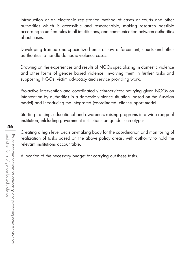Introduction of an electronic registration method of cases at courts and other authorities which is accessible and researchable, making research possible according to unified rules in all intistitutions, and communication between authorities about cases.

Developing trained and specialized units at law enforcement, courts and other aurthorities to handle domestic violence cases.

Drawing on the experiences and results of NGOs specializing in domestic violence and other forms of gender based violence, involving them in further tasks and supporting NGOs' victim advocacy and service providing work.

Pro-active intervention and coordinated victim-services: notifying given NGOs on intervention by authorities in a domestic violence situation (based on the Austrian model) and introducing the integrated (coordinated) client-support model.

Starting training, educational and awareness-raising programs in a wide range of institution, inlcluding government institutions on gender-stereotypes.

Creating a high level decision-making body for the coordination and monitoring of realization of tasks based on the above policy areas, with authority to hold the relevant institutions accountable.

Allocation of the necessary budget for carrying out these tasks.